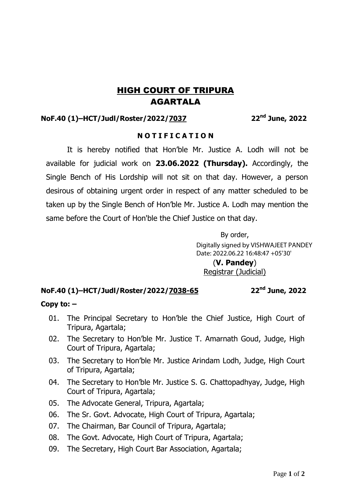# HIGH COURT OF TRIPURA AGARTALA

### **NoF.40 (1)–HCT/Judl/Roster/2022/7037 22nd June, 2022**

### **N O T I F I C A T I O N**

It is hereby notified that Hon'ble Mr. Justice A. Lodh will not be available for judicial work on **23.06.2022 (Thursday).** Accordingly, the Single Bench of His Lordship will not sit on that day. However, a person desirous of obtaining urgent order in respect of any matter scheduled to be taken up by the Single Bench of Hon'ble Mr. Justice A. Lodh may mention the same before the Court of Hon'ble the Chief Justice on that day.

> By order, (**V. Pandey**) Registrar (Judicial) Digitally signed by VISHWAJEET PANDEY Date: 2022.06.22 16:48:47 +05'30'

## **NoF.40 (1)–HCT/Judl/Roster/2022/7038-65 22nd June, 2022**

#### **Copy to: –**

- 01. The Principal Secretary to Hon'ble the Chief Justice, High Court of Tripura, Agartala;
- 02. The Secretary to Hon'ble Mr. Justice T. Amarnath Goud, Judge, High Court of Tripura, Agartala;
- 03. The Secretary to Hon'ble Mr. Justice Arindam Lodh, Judge, High Court of Tripura, Agartala;
- 04. The Secretary to Hon'ble Mr. Justice S. G. Chattopadhyay, Judge, High Court of Tripura, Agartala;
- 05. The Advocate General, Tripura, Agartala;
- 06. The Sr. Govt. Advocate, High Court of Tripura, Agartala;
- 07. The Chairman, Bar Council of Tripura, Agartala;
- 08. The Govt. Advocate, High Court of Tripura, Agartala;
- 09. The Secretary, High Court Bar Association, Agartala;